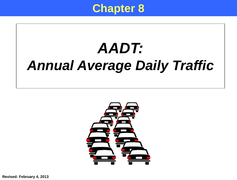

# *AADT: Annual Average Daily Traffic*



**Revised: February 4, 2013**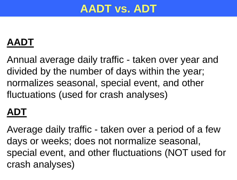# **AADT vs. ADT**

#### **AADT**

Annual average daily traffic - taken over year and divided by the number of days within the year; normalizes seasonal, special event, and other fluctuations (used for crash analyses)

#### **ADT**

Average daily traffic - taken over a period of a few days or weeks; does not normalize seasonal, special event, and other fluctuations (NOT used for crash analyses)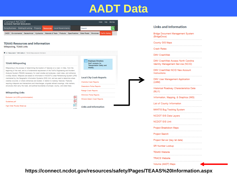#### **AADT Data**



#### **TEAAS Resources and Information Mileposting, TEAAS Links**

<sup>◆</sup> ▶ Resources ▶ Traffic Safety ▶ TEAAS Resources and Information

#### **TEAAS Mileposting**

Mileposting is the process of determining the location of features on a road, in miles, from the beginning of the road, and is a fundamental requirement of the Traffic Engineering and Accident Analysis System (TEAAS) necessary for crash studies and analyses, crash rates, and ordinance overlap checks. Mileposts are based on information in NCDOT's Linear Referencing System (LRS) maintained by the Geographic Information Systems (GIS) Unit, and are used to determine where crashes occurred, or where ordinances are located, in relation to roadway features. Features requiring mileposts are intersections and interchanges, at-grade railroad crossings, mile markers, structures (that carry the road), and political boundaries (municipal, county, and state lines).

#### **Mileposting Links**

| Exclusion List (LRS sycnchronization) |  |
|---------------------------------------|--|
| Guidelines.pdf                        |  |
| High Order Routes Sheet.zip           |  |

**Employee Directory** Staff contacts for Transportation Safety and Mobility.

#### **Local City Crash Reports**

Charlotte Crash Reports

Greensboro Police Reports

Raleigh Crash Reports

Wilminton Police Reports

Winston-Salem Crash Reports

**Links and Information** 

#### **Links and Information**

Bridge Document Management System (BridgeDocs)

County GIS Maps

**Crash Rates** 

DMV CrashWeb

DMV CrashWeb Access North Carolina Identity Management Service (NCID)

DMV CrashWeb NCID New Account Instructions

DMV User Management Application (UMM)

Historical Roadway Characteristics Data  $(MLI1)$ 

Information, Mapping, & Graphics (IMG)

List of County Information

**MANTIS Bug Tracking System** 

NCDOT GIS Data Layers

**NCDOT GIS Unit** 

Project Breakdown Maps

Project Search

Project Server (bey let date)

SR Number Lookup

**TEAAS Website** 

**TRACS Website** 

Volume (AADT) Maps

**https://connect.ncdot.gov/resources/safety/Pages/TEAAS%20Information.aspx**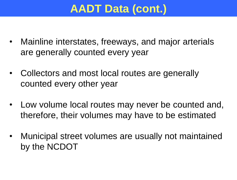# **AADT Data (cont.)**

- Mainline interstates, freeways, and major arterials are generally counted every year
- Collectors and most local routes are generally counted every other year
- Low volume local routes may never be counted and, therefore, their volumes may have to be estimated
- Municipal street volumes are usually not maintained by the NCDOT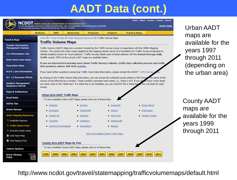# **AADT Data (cont.)**

| NCDOT                                                   | <b>ORTH CAROLINA DEPARTMENT OF TRANSPORTATION</b>                                                                                                                                                                                                                        |                       |                                       | Home   About   Careers   Contact   Search |                     |                                 |
|---------------------------------------------------------|--------------------------------------------------------------------------------------------------------------------------------------------------------------------------------------------------------------------------------------------------------------------------|-----------------------|---------------------------------------|-------------------------------------------|---------------------|---------------------------------|
|                                                         | Connecting people and places safely and efficiently, with accountability and environmental sensitivity<br>to enhance the economy, health and well-being of North Carolina.                                                                                               |                       |                                       |                                           | <b>NCDOT Mobile</b> | Urban AADT                      |
|                                                         | <b>Business</b><br><b>DMV</b><br><b>Newsroom</b>                                                                                                                                                                                                                         | <b>Programs</b>       | <b>Projects</b>                       | <b>Travel &amp; Maps</b>                  |                     | maps are                        |
| <b>Travel &amp; Maps</b>                                | Home $\hat{A}$ » Travel & Maps $\hat{A}$ » State Mapping Resources $\hat{A}$ » Traffic Volume Maps                                                                                                                                                                       |                       |                                       |                                           |                     |                                 |
| <b>Traveler Information</b><br><b>Management System</b> | <b>Traffic Volume Maps</b><br>Traffic Volume (AADT) Maps are a product created by the Traffic Survey Group in cooperation with the SRMU Mapping                                                                                                                          |                       |                                       |                                           |                     | available for the<br>years 1997 |
| 511 Information Line                                    | Section. The county and urban maps supplied by the mapping section serve as a foundation for Traffic Survey employees to<br>identify locations known as "count stations". Traffic Surveys labels each of these stations with the Annual Average Daily                    |                       |                                       |                                           |                     |                                 |
| <b>Drive Green Save Green</b>                           | Traffic counts. PDF's of the current AADT maps are available below.                                                                                                                                                                                                      |                       |                                       |                                           |                     | through 2011                    |
| <b>Evacuation Maps</b>                                  | If you are interested in learning more about Traffic Survey's mission, traffic data collection process and traffic<br>data products, please visit their website.                                                                                                         |                       |                                       |                                           |                     | (depending on                   |
| <b>H.O.V. Lane Information</b>                          | If you have further questions concerning Traffic Count Data Information, please contact the NCDOT Traffic Survey C                                                                                                                                                       |                       |                                       |                                           |                     | the urban area)                 |
| N.C. 12 Recovery Efforts                                | By clicking on the Traffic Volume Map links below, you can access the individual county sheets in PDF format of the name of the                                                                                                                                          |                       |                                       |                                           |                     |                                 |
| <b>Incident Management</b><br><b>Assistance Patrols</b> | county will be followed by a number. These numbers represent each sheet, i.e., Sheet 2 of 9. If you do not know which sheet<br>you need, click on the "sheet key". If a sheet key is not available, you can ALWAYS find a sheet key in the 1st sheet for each<br>county. |                       |                                       |                                           |                     |                                 |
| <b>Maps &amp; Publications</b>                          |                                                                                                                                                                                                                                                                          |                       |                                       |                                           |                     |                                 |
| <b>Road Rules</b>                                       | <b>Urban Area AADT Traffic Maps</b><br>To view available Urban AADT Maps, please click one of these links:                                                                                                                                                               |                       |                                       |                                           |                     |                                 |
| <b>Safety Tips</b>                                      | • Asheville                                                                                                                                                                                                                                                              | <b>Durham</b>         | Greenville                            | • Rocky Mount                             |                     | <b>County AADT</b>              |
| <b>Scenic Byways</b>                                    | $\blacksquare$ Burlington                                                                                                                                                                                                                                                | <b>E</b> Fayetteville | $\blacksquare$ Hickory                | • Wilmington                              |                     | maps are                        |
| <b>State Mapping Resources</b>                          | Chapel Hill                                                                                                                                                                                                                                                              | ■ Gastonia            | - High Point                          | <b>N</b> Winston Salem                    |                     | available for the               |
| $\Box$ Straightline Diagrams                            | • Charlotte                                                                                                                                                                                                                                                              | Goldsboro             | <b>Jacksonville</b>                   |                                           |                     |                                 |
| □ Traffic Volume Maps                                   | Concord & Kannapolis                                                                                                                                                                                                                                                     | Greensboro            | Raleigh                               |                                           |                     | years 1999                      |
| □ Secondary Roads Lookup                                |                                                                                                                                                                                                                                                                          |                       | View All Available Urban Traffic Maps |                                           |                     | through 2011                    |
| Order Paper Maps                                        |                                                                                                                                                                                                                                                                          |                       |                                       |                                           |                     |                                 |
| State Mapping FAQs                                      | <b>County Area AADT Maps by Year</b>                                                                                                                                                                                                                                     |                       |                                       |                                           |                     |                                 |
| <b>Twitter Updates</b>                                  | To view available County AADT Maps, please click on of these links:                                                                                                                                                                                                      |                       |                                       |                                           |                     |                                 |
| PDF<br><b>Snow Clearing</b><br><b>Policy</b>            |                                                                                                                                                                                                                                                                          |                       | 2007<br>2005<br>2006                  | 2008<br>2009<br>2010                      | 2011                |                                 |

http://www.ncdot.gov/travel/statemapping/trafficvolumemaps/default.html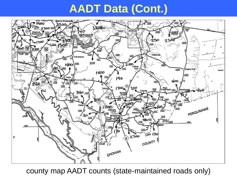# **AADT Data (Cont.)**



county map AADT counts (state-maintained roads only)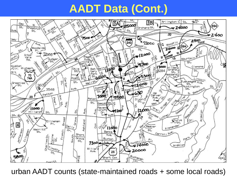# **AADT Data (Cont.)**



urban AADT counts (state-maintained roads + some local roads)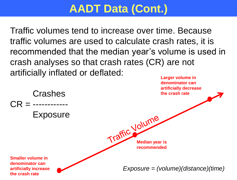# **AADT Data (Cont.)**

Traffic volumes tend to increase over time. Because traffic volumes are used to calculate crash rates, it is recommended that the median year's volume is used in crash analyses so that crash rates (CR) are not artificially inflated or deflated:

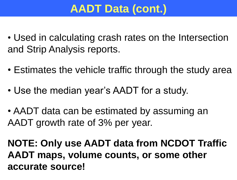# **AADT Data (cont.)**

- Used in calculating crash rates on the Intersection and Strip Analysis reports.
- Estimates the vehicle traffic through the study area
- Use the median year's AADT for a study.
- AADT data can be estimated by assuming an AADT growth rate of 3% per year.

**NOTE: Only use AADT data from NCDOT Traffic AADT maps, volume counts, or some other accurate source!**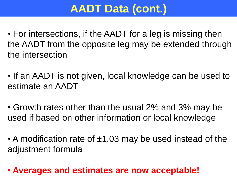# **AADT Data (cont.)**

- For intersections, if the AADT for a leg is missing then the AADT from the opposite leg may be extended through the intersection
- If an AADT is not given, local knowledge can be used to estimate an AADT
- Growth rates other than the usual 2% and 3% may be used if based on other information or local knowledge
- A modification rate of ±1.03 may be used instead of the adjustment formula
- **Averages and estimates are now acceptable!**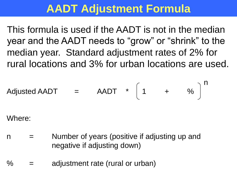### **AADT Adjustment Formula**

This formula is used if the AADT is not in the median year and the AADT needs to "grow" or "shrink" to the median year. Standard adjustment rates of 2% for rural locations and 3% for urban locations are used.

Adjusted AADT = 
$$
=
$$
 
$$
AADT * \left(1 + \frac{\alpha}{\beta}\right)^n
$$

Where:

- $n =$  Number of years (positive if adjusting up and negative if adjusting down)
- $\%$  = adjustment rate (rural or urban)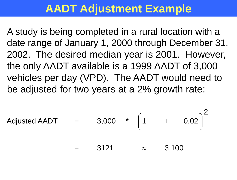# **AADT Adjustment Example**

A study is being completed in a rural location with a date range of January 1, 2000 through December 31, 2002. The desired median year is 2001. However, the only AADT available is a 1999 AADT of 3,000 vehicles per day (VPD). The AADT would need to be adjusted for two years at a 2% growth rate:

$$
adjusted AADT = 3,000 * \left[1 + 0.02\right]^2
$$

 $3121 \approx 3,100$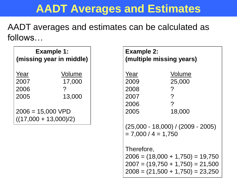# **AADT Averages and Estimates**

AADT averages and estimates can be calculated as follows…

| <b>Example 1:</b><br>(missing year in middle)  |        |
|------------------------------------------------|--------|
| Year                                           | Volume |
| 2007                                           | 17,000 |
| 2006                                           | 7      |
| 2005                                           | 13,000 |
| $2006 = 15,000 VPD$<br>$((17,000 + 13,000)/2)$ |        |

| <b>Example 2:</b>     | (multiple missing years)            |
|-----------------------|-------------------------------------|
| Year                  | Volume                              |
| 2009                  | 25,000                              |
| 2008                  | ?                                   |
| 2007                  | ?                                   |
| 2006                  | $\overline{?}$                      |
| 2005                  | 18,000                              |
| $= 7,000 / 4 = 1,750$ | $(25,000 - 18,000) / (2009 - 2005)$ |
| Therefore,            |                                     |
|                       | $2006 = (18,000 + 1,750) = 19,750$  |
|                       | $2007 = (19,750 + 1,750) = 21,500$  |
|                       | $2008 = (21,500 + 1,750) = 23,250$  |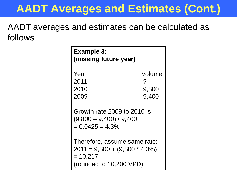# **AADT Averages and Estimates (Cont.)**

AADT averages and estimates can be calculated as follows…

| <b>Example 3:</b><br>(missing future year)                                                               |                          |
|----------------------------------------------------------------------------------------------------------|--------------------------|
| Year<br>2011<br>2010<br>2009                                                                             | Volume<br>9,800<br>9,400 |
| Growth rate 2009 to 2010 is<br>$(9,800 - 9,400) / 9,400$<br>$= 0.0425 = 4.3\%$                           |                          |
| Therefore, assume same rate:<br>$2011 = 9,800 + (9,800 * 4.3%)$<br>$= 10,217$<br>(rounded to 10,200 VPD) |                          |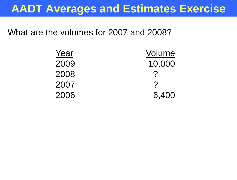#### **AADT Averages and Estimates Exercise**

What are the volumes for 2007 and 2008?

| Year | Volume        |
|------|---------------|
| 2009 | 10,000        |
| 2008 | $\mathcal{P}$ |
| 2007 | $\mathcal{P}$ |
| 2006 | 6,400         |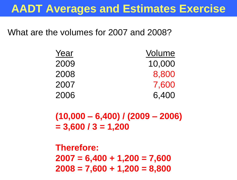#### **AADT Averages and Estimates Exercise**

What are the volumes for 2007 and 2008?

| Year | Volume |
|------|--------|
| 2009 | 10,000 |
| 2008 | 8,800  |
| 2007 | 7,600  |
| 2006 | 6,400  |

**(10,000 – 6,400) / (2009 – 2006) = 3,600 / 3 = 1,200**

**Therefore: 2007 = 6,400 + 1,200 = 7,600 2008 = 7,600 + 1,200 = 8,800**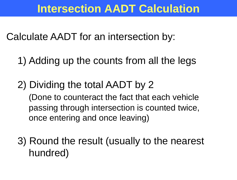Calculate AADT for an intersection by:

- 1) Adding up the counts from all the legs
- 2) Dividing the total AADT by 2 (Done to counteract the fact that each vehicle passing through intersection is counted twice, once entering and once leaving)

3) Round the result (usually to the nearest hundred)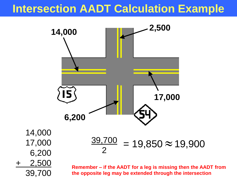### **Intersection AADT Calculation Example**



**the opposite leg may be extended through the intersection**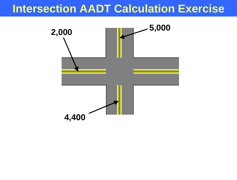#### **Intersection AADT Calculation Exercise**

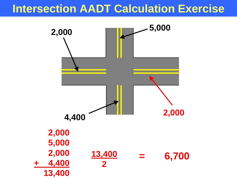#### **Intersection AADT Calculation Exercise**

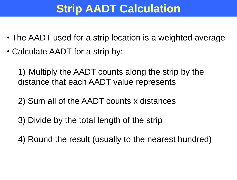# **Strip AADT Calculation**

- The AADT used for a strip location is a weighted average
- Calculate AADT for a strip by:

1) Multiply the AADT counts along the strip by the distance that each AADT value represents

- 2) Sum all of the AADT counts x distances
- 3) Divide by the total length of the strip
- 4) Round the result (usually to the nearest hundred)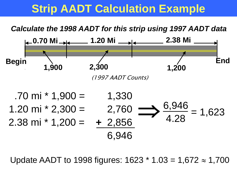## **Strip AADT Calculation Example**



Update AADT to 1998 figures:  $1623 * 1.03 = 1,672 \approx 1,700$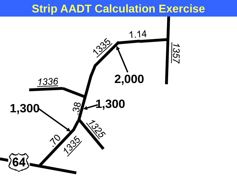#### **Strip AADT Calculation Exercise**